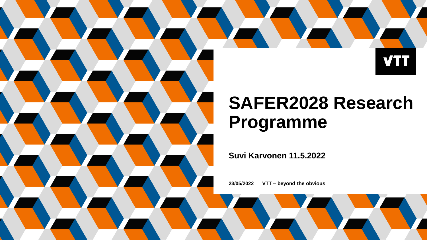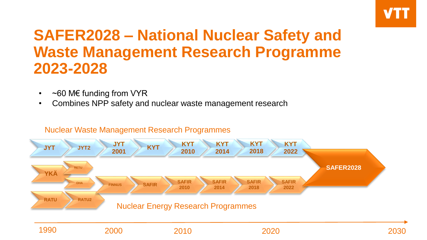

## **SAFER2028 – National Nuclear Safety and Waste Management Research Programme 2023-2028**

- $\sim$  60 M€ funding from VYR
- Combines NPP safety and nuclear waste management research

#### Nuclear Waste Management Research Programmes

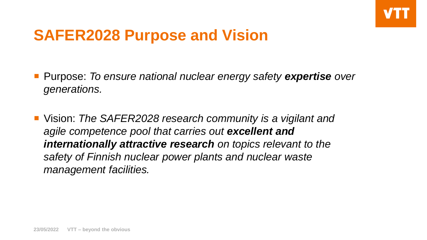## **SAFER2028 Purpose and Vision**

- Purpose: *To ensure national nuclear energy safety expertise over generations.*
- Vision: *The SAFER2028 research community is a vigilant and agile competence pool that carries out excellent and internationally attractive research on topics relevant to the safety of Finnish nuclear power plants and nuclear waste management facilities.*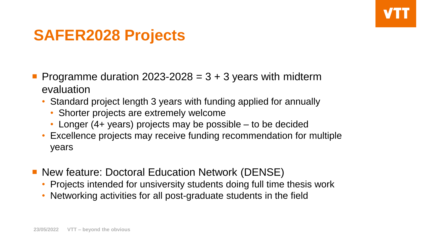## **SAFER2028 Projects**

- **Programme duration 2023-2028 = 3 + 3 years with midterm** evaluation
	- Standard project length 3 years with funding applied for annually
		- Shorter projects are extremely welcome
		- Longer (4+ years) projects may be possible to be decided
	- Excellence projects may receive funding recommendation for multiple years
- New feature: Doctoral Education Network (DENSE)
	- Projects intended for unsiversity students doing full time thesis work
	- Networking activities for all post-graduate students in the field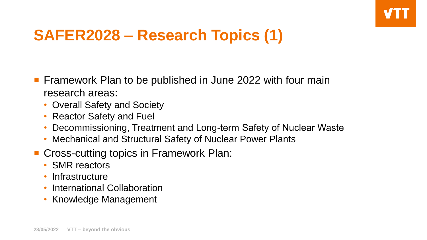# **SAFER2028 – Research Topics (1)**

- **Firamework Plan to be published in June 2022 with four main** research areas:
	- Overall Safety and Society
	- Reactor Safety and Fuel
	- Decommissioning, Treatment and Long-term Safety of Nuclear Waste
	- Mechanical and Structural Safety of Nuclear Power Plants
- Cross-cutting topics in Framework Plan:
	- SMR reactors
	- Infrastructure
	- International Collaboration
	- Knowledge Management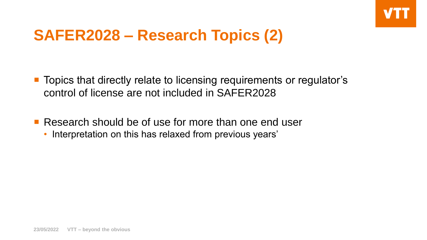## **SAFER2028 – Research Topics (2)**

■ Topics that directly relate to licensing requirements or regulator's control of license are not included in SAFER2028

**Research should be of use for more than one end user** 

• Interpretation on this has relaxed from previous years'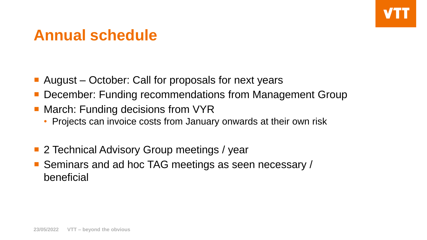## **Annual schedule**

- August October: Call for proposals for next years
- December: Funding recommendations from Management Group
- March: Funding decisions from VYR
	- Projects can invoice costs from January onwards at their own risk
- 2 Technical Advisory Group meetings / year
- Seminars and ad hoc TAG meetings as seen necessary / beneficial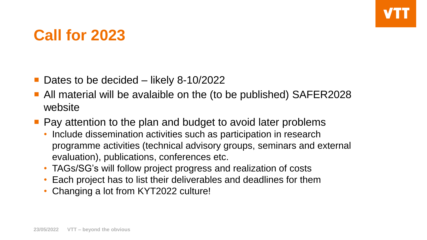#### **Call for 2023**

- Dates to be decided likely 8-10/2022
- All material will be avalaible on the (to be published) SAFER2028 website
- **Pay attention to the plan and budget to avoid later problems** 
	- Include dissemination activities such as participation in research programme activities (technical advisory groups, seminars and external evaluation), publications, conferences etc.
	- TAGs/SG's will follow project progress and realization of costs
	- Each project has to list their deliverables and deadlines for them
	- Changing a lot from KYT2022 culture!